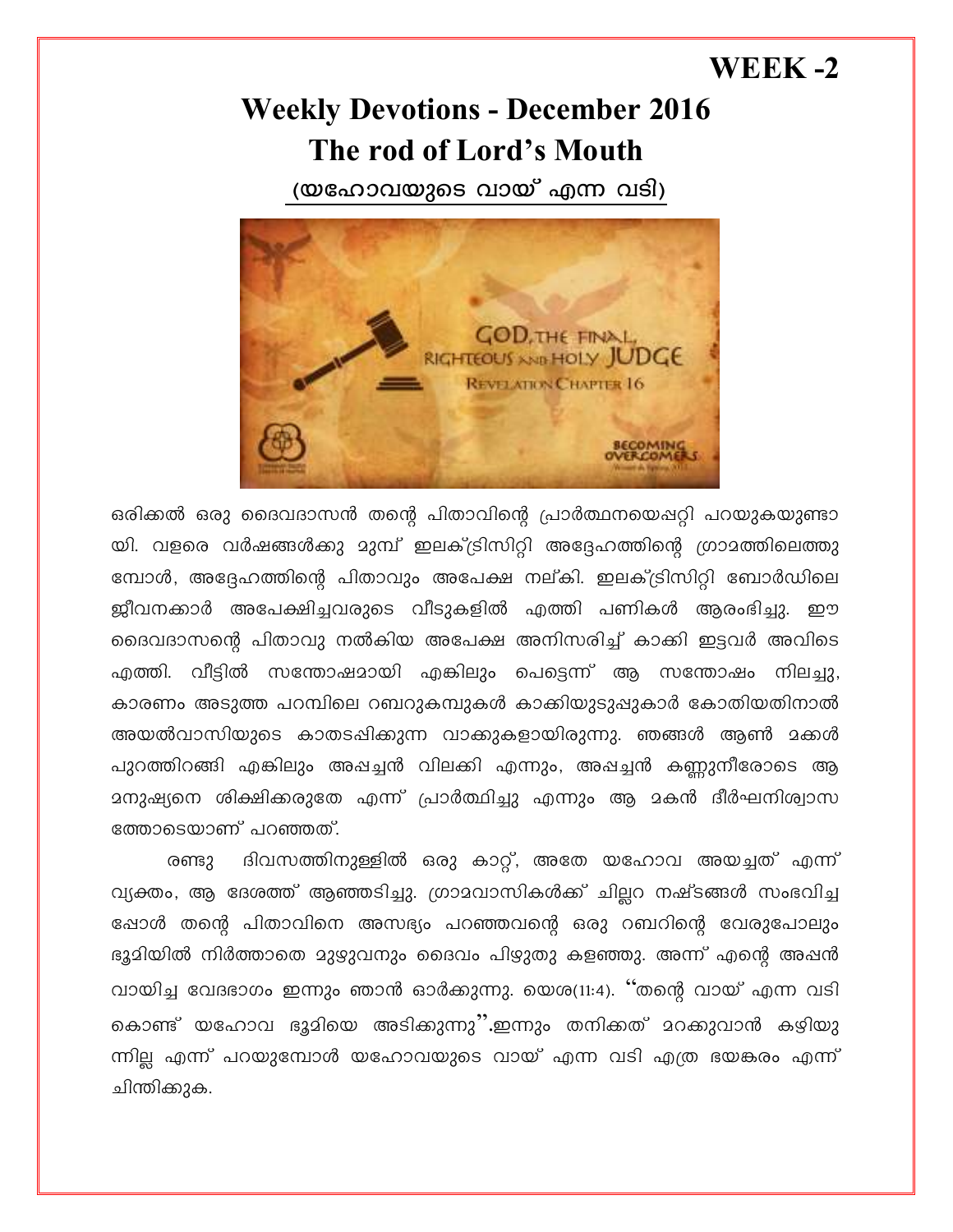## WEEK  $-2$

## **Weekly Devotions - December 2016** The rod of Lord's Mouth

(യഹോവയുടെ വായ് എന്ന വടി)



ഒരിക്കൽ ഒരു ദൈവദാസൻ തന്റെ പിതാവിന്റെ പ്രാർത്ഥനയെപ്പറ്റി പറയുകയുണ്ടാ യി. വളരെ വർഷങ്ങൾക്കു മുമ്പ് ഇലക്ട്രിസിറ്റി അദ്ദേഹത്തിന്റെ ഗ്രാമത്തിലെത്തു മ്പോൾ, അദ്ദേഹത്തിന്റെ പിതാവും അപേക്ഷ നല്കി. ഇലക്ട്രിസിറ്റി ബോർഡിലെ ജ്ബീവനക്കാർ അപേക്ഷിച്ചവരുടെ വീടുകളിൽ എത്തി പണികൾ ആരംഭിച്ചു. ഈ ദൈവദാസന്റെ പിതാവു നൽകിയ അപേക്ഷ അനിസരിച്ച് കാക്കി ഇട്ടവർ അവിടെ എത്തി. വീട്ടിൽ സന്തോഷമായി എങ്കിലും പെട്ടെന്ന് ആ സന്തോഷം നിലച്ചു, കാരണം അടുത്ത പറമ്പിലെ റബറുകമ്പുകൾ കാക്കിയുടുപ്പുകാർ കോതിയതിനാൽ അയൽവാസിയുടെ കാതടപ്പിക്കുന്ന വാക്കുകളായിരുന്നു. ഞങ്ങൾ ആൺ മക്കൾ പുറത്തിറങ്ങി എങ്കിലും അഷച്ചൻ വിലക്കി എന്നും, അഷച്ചൻ കണ്ണുനീരോടെ ആ ത്തോടെയാണ് പറഞ്ഞത്.

ദിവസത്തിനുള്ളിൽ ഒരു കാറ്റ്, അതേ യഹോവ അയച്ചത് എന്ന് രണ്ടു വ്യക്തം, ആ ദേശത്ത് ആഞ്ഞടിച്ചു. ഗ്രാമവാസികൾക്ക് ചില്ലറ നഷ്ടങ്ങൾ സംഭവിച്ച ഷോൾ തന്റെ പിതാവിനെ അസഭ്യം പറഞ്ഞവന്റെ ഒരു റബറിന്റെ വേരുപോലും ഭൂമിയിൽ നിർത്താതെ മുഴുവനും ദൈവം പിഴുതു കളഞ്ഞു. അന്ന് എന്റെ അപ്പൻ വായിച്ച വേദഭാഗം ഇന്നും ഞാൻ ഓർക്കുന്നു. യെശ(11:4). ''തന്റെ വായ് എന്ന വടി കൊണ്ട് യഹോവ ഭൂമിയെ അടിക്കുന്നു".ഇന്നും തനിക്കത് മറക്കുവാൻ കഴിയു ന്നില്ല എന്ന് പറയുമ്പോൾ യഹോവയുടെ വായ് എന്ന വടി എത്ര ഭയങ്കരം എന്ന് ചിന്തിക്കുക.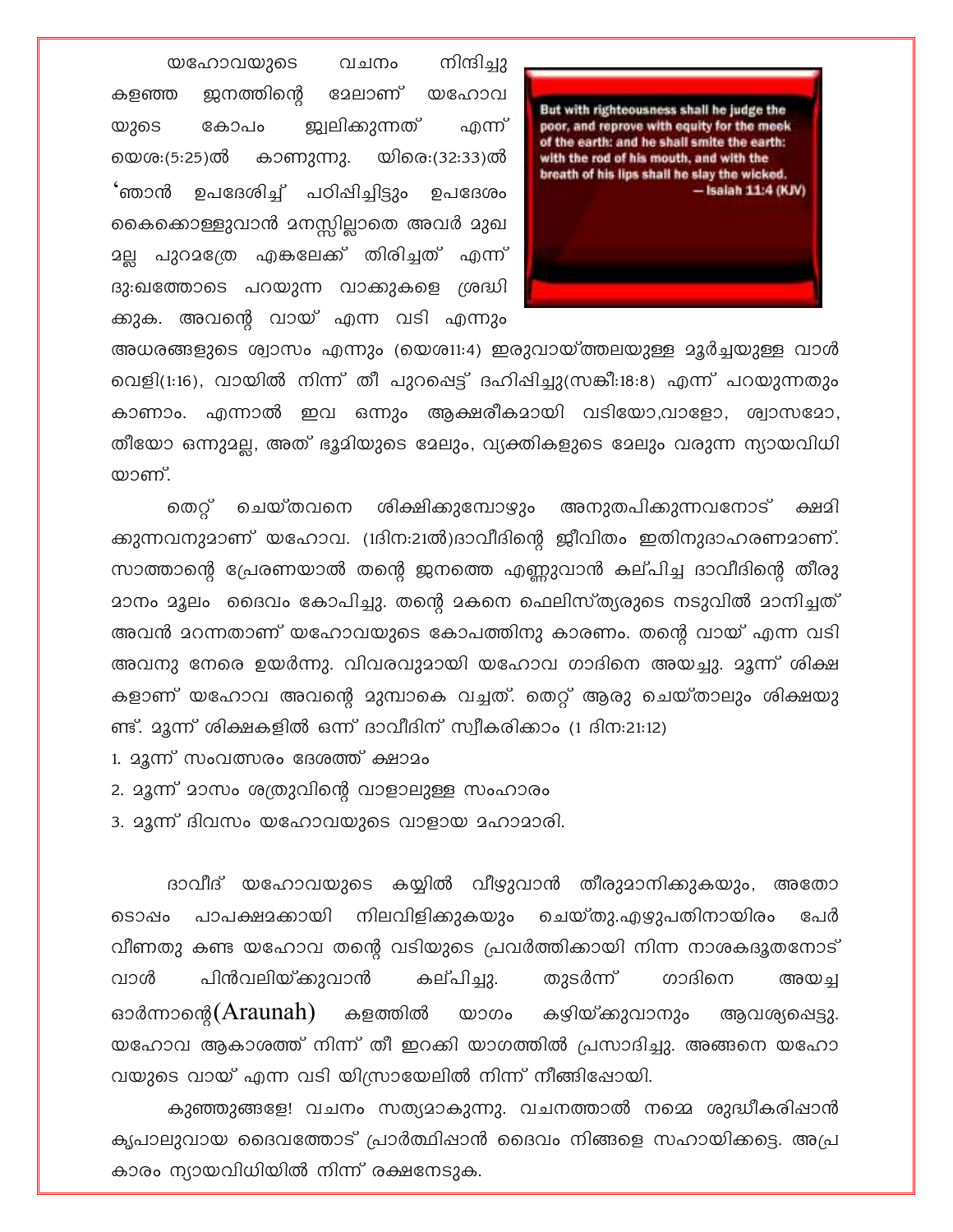നിന്ദിച്ചു യഹോവയുടെ വചനം ജനത്തിന്റെ ദേലാണ് യഹോവ കളഞ്ഞ <u> ജ്വലികുന്നത്</u> എന്ന് കോപം യുടെ യെശ:(5:25)ൽ കാണുന്നു. യിരെ:(32:33)ൽ 'ഞാൻ' ഉപദേശിച്ച് പഠിഷിച്ചിട്ടും ഉപദേശം കൈക്കൊള്ളുവാൻ മനസ്സില്ലാതെ അവർ മുഖ <u>ാല്ല</u> പുറാത്രേ എകലേക്ക് തിരിച്ചത് എന്ന് ദു:ഖത്തോടെ പറയുന്ന വാക്കുകളെ ശ്രദ്ധി ക്കുക. അവന്റെ വായ് എന്ന വടി എന്നും



അധരങ്ങളുടെ ശ്വാസം എന്നും (യെശ11:4) ഇരുവായ്ത്തലയുള്ള മൂർച്ചയുള്ള വാൾ വെളി(1:16), വായിൽ നിന്ന് തീ പുറപ്പെട്ട് ദഹിഷിച്ചു(സങ്കീ:18:8) എന്ന് പറയുന്നതും കാണാം. എന്നാൽ ഇവ ഒന്നും ആക്ഷരീകമായി വടിയോ,വാളോ, ശ്വാസമോ, തീയോ ഒന്നുമല്ല, അത് ഭൂമിയുടെ മേലും, വ്യക്തികളുടെ മേലും വരുന്ന ന്യായവിധി യാണ്.

ചെയ്തവനെ ശിക്ഷിക്കുമ്പോഴും അനുതപിക്കുന്നവനോട് തെറ് ക്ഷമി ക്കുന്നവനുമാണ് യഹോവ. (1ദിന:21ൽ)ദാവീദിന്റെ ജീവിതം ഇതിനുദാഹരണമാണ്. സാത്താന്റെ പ്രേരണയാൽ തന്റെ ഇനത്തെ എണ്ണുവാൻ കല്പിച്ച ദാവീദിന്റെ തീരു <u>മാനം മൂലം ദൈവം കോപിച്ചു. തന്റെ മകനെ ഫെലിസ്ത്യരുടെ നടുവിൽ മാനിച്ചത് </u> അവൻ മറന്നതാണ് യഹോവയുടെ കോപത്തിനു കാരണം. തന്റെ വായ് എന്ന വടി അവനു നേരെ ഉയർന്നു. വിവരവുമായി യഹോവ ഗാദിനെ അയച്ചു. മൂന്ന് ശിക്ഷ കളാണ് യഹോവ അവന്റെ മുമ്പാകെ വച്ചത്. തെറ്റ് ആരു ചെയ്താലും ശിക്ഷയു ണ്ട്. മൂന്ന് ശിക്ഷകളിൽ ഒന്ന് ദാവീദിന് സ്വീകരിക്കാം (1 ദിന:21:12)

- 1. മൂന്ന് സംവത്സരം ദേശത്ത് ക്ഷാമം
- 2. മൂന്ന് മാസം ശത്രുവിന്റെ വാളാലുള്ള സംഹാരം
- 3. മൂന്ന് ദിവസം യഹോവയുടെ വാളായ മഹാമാരി.

ദാവീദ് യഹോവയുടെ കയ്യിൽ വീഴുവാൻ തീരുമാനിക്കുകയും, അതോ പാപക്ഷമക്കായി നിലവിളിക്കുകയും ചെയ്തു.എഴുപതിനായിരം പേർ ടൊഷം വീണതു കണ്ട യഹോവ തന്റെ വടിയുടെ പ്രവർത്തിക്കായി നിന്ന നാശകദൂതനോട് പിൻവലിയ്ക്കുവാൻ ഗാദിനെ വാൾ കല്പിച്ചു. തുടർന്ന് അയച ഓർന്നാന്റെ(Araunah) കഴിയ്ക്കുവാനും കളത്തിൽ യാഗം ആവശ്യപ്പെട്ടു. യഹോവ ആകാശത്ത് നിന്ന് തീ ഇറക്കി യാഗത്തിൽ പ്രസാദിച്ചു. അങ്ങനെ യഹോ വയുടെ വായ് എന്ന വടി യിസ്രായേലിൽ നിന്ന് നീങ്ങിഷോയി.

കുഞ്ഞുങ്ങളേ! വചനം സത്യമാകുന്നു. വചനത്താൽ നമ്മെ ശുദ്ധീകരിഷാൻ കൃപാലുവായ ദൈവത്തോട് പ്രാർത്ഥിപ്പാൻ ദൈവം നിങ്ങളെ സഹായിക്കട്ടെ. അപ്ര കാരം ന്യായവിധിയിൽ നിന്ന് രക്ഷനേടുക.